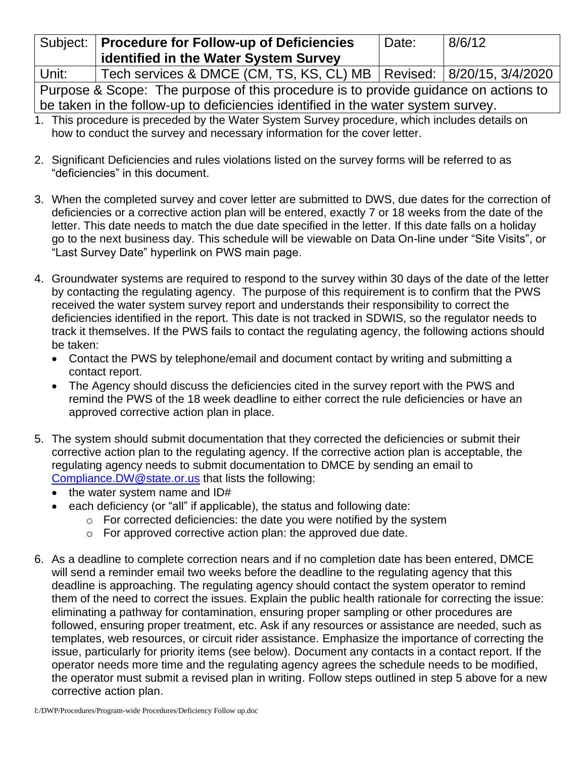|                                                                                     | Subject:   Procedure for Follow-up of Deficiencies                      | 'Date: | 8/6/12 |
|-------------------------------------------------------------------------------------|-------------------------------------------------------------------------|--------|--------|
|                                                                                     | identified in the Water System Survey                                   |        |        |
| Unit:                                                                               | Tech services & DMCE (CM, TS, KS, CL) MB   Revised:   8/20/15, 3/4/2020 |        |        |
| Purpose & Scope: The purpose of this procedure is to provide guidance on actions to |                                                                         |        |        |

be taken in the follow-up to deficiencies identified in the water system survey.

- 1. This procedure is preceded by the Water System Survey procedure, which includes details on how to conduct the survey and necessary information for the cover letter.
- 2. Significant Deficiencies and rules violations listed on the survey forms will be referred to as "deficiencies" in this document.
- 3. When the completed survey and cover letter are submitted to DWS, due dates for the correction of deficiencies or a corrective action plan will be entered, exactly 7 or 18 weeks from the date of the letter. This date needs to match the due date specified in the letter. If this date falls on a holiday go to the next business day. This schedule will be viewable on Data On-line under "Site Visits", or "Last Survey Date" hyperlink on PWS main page.
- 4. Groundwater systems are required to respond to the survey within 30 days of the date of the letter by contacting the regulating agency. The purpose of this requirement is to confirm that the PWS received the water system survey report and understands their responsibility to correct the deficiencies identified in the report. This date is not tracked in SDWIS, so the regulator needs to track it themselves. If the PWS fails to contact the regulating agency, the following actions should be taken:
	- Contact the PWS by telephone/email and document contact by writing and submitting a contact report.
	- The Agency should discuss the deficiencies cited in the survey report with the PWS and remind the PWS of the 18 week deadline to either correct the rule deficiencies or have an approved corrective action plan in place.
- 5. The system should submit documentation that they corrected the deficiencies or submit their corrective action plan to the regulating agency. If the corrective action plan is acceptable, the regulating agency needs to submit documentation to DMCE by sending an email to [Compliance.DW@state.or.us](mailto:Compliance.DW@state.or.us) that lists the following:
	- the water system name and ID#
	- each deficiency (or "all" if applicable), the status and following date:
		- $\circ$  For corrected deficiencies: the date you were notified by the system
		- o For approved corrective action plan: the approved due date.
- 6. As a deadline to complete correction nears and if no completion date has been entered, DMCE will send a reminder email two weeks before the deadline to the regulating agency that this deadline is approaching. The regulating agency should contact the system operator to remind them of the need to correct the issues. Explain the public health rationale for correcting the issue: eliminating a pathway for contamination, ensuring proper sampling or other procedures are followed, ensuring proper treatment, etc. Ask if any resources or assistance are needed, such as templates, web resources, or circuit rider assistance. Emphasize the importance of correcting the issue, particularly for priority items (see below). Document any contacts in a contact report. If the operator needs more time and the regulating agency agrees the schedule needs to be modified, the operator must submit a revised plan in writing. Follow steps outlined in step 5 above for a new corrective action plan.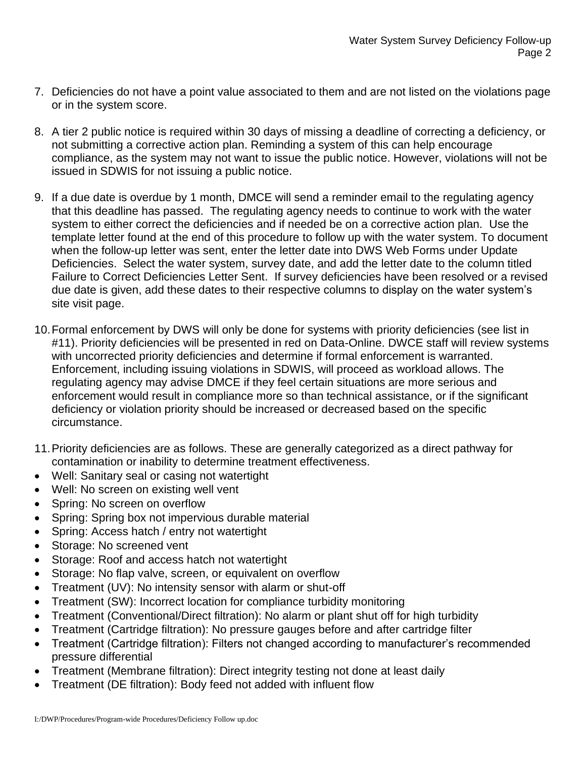- 7. Deficiencies do not have a point value associated to them and are not listed on the violations page or in the system score.
- 8. A tier 2 public notice is required within 30 days of missing a deadline of correcting a deficiency, or not submitting a corrective action plan. Reminding a system of this can help encourage compliance, as the system may not want to issue the public notice. However, violations will not be issued in SDWIS for not issuing a public notice.
- 9. If a due date is overdue by 1 month, DMCE will send a reminder email to the regulating agency that this deadline has passed. The regulating agency needs to continue to work with the water system to either correct the deficiencies and if needed be on a corrective action plan. Use the template letter found at the end of this procedure to follow up with the water system. To document when the follow-up letter was sent, enter the letter date into DWS Web Forms under Update Deficiencies. Select the water system, survey date, and add the letter date to the column titled Failure to Correct Deficiencies Letter Sent. If survey deficiencies have been resolved or a revised due date is given, add these dates to their respective columns to display on the water system's site visit page.
- 10.Formal enforcement by DWS will only be done for systems with priority deficiencies (see list in #11). Priority deficiencies will be presented in red on Data-Online. DWCE staff will review systems with uncorrected priority deficiencies and determine if formal enforcement is warranted. Enforcement, including issuing violations in SDWIS, will proceed as workload allows. The regulating agency may advise DMCE if they feel certain situations are more serious and enforcement would result in compliance more so than technical assistance, or if the significant deficiency or violation priority should be increased or decreased based on the specific circumstance.
- 11.Priority deficiencies are as follows. These are generally categorized as a direct pathway for contamination or inability to determine treatment effectiveness.
- Well: Sanitary seal or casing not watertight
- Well: No screen on existing well vent
- Spring: No screen on overflow
- Spring: Spring box not impervious durable material
- Spring: Access hatch / entry not watertight
- Storage: No screened vent
- Storage: Roof and access hatch not watertight
- Storage: No flap valve, screen, or equivalent on overflow
- Treatment (UV): No intensity sensor with alarm or shut-off
- Treatment (SW): Incorrect location for compliance turbidity monitoring
- Treatment (Conventional/Direct filtration): No alarm or plant shut off for high turbidity
- Treatment (Cartridge filtration): No pressure gauges before and after cartridge filter
- Treatment (Cartridge filtration): Filters not changed according to manufacturer's recommended pressure differential
- Treatment (Membrane filtration): Direct integrity testing not done at least daily
- Treatment (DE filtration): Body feed not added with influent flow